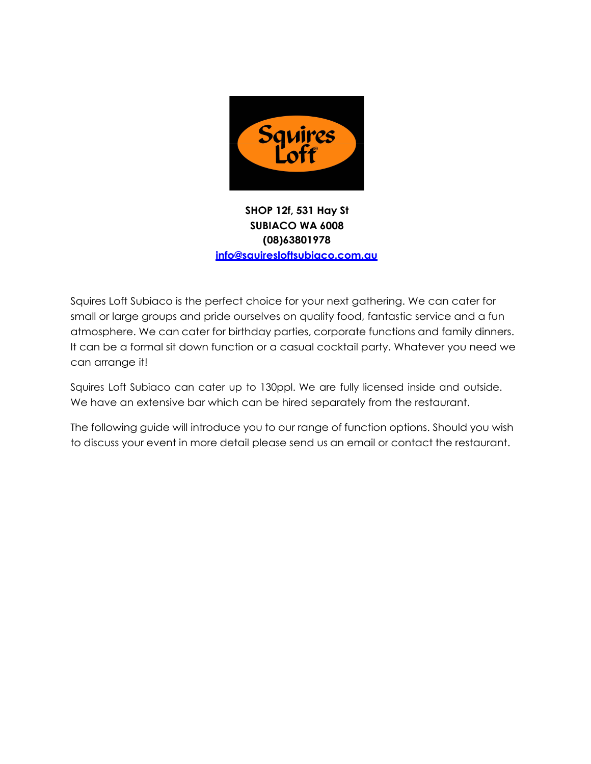

# **SHOP 12f, 531 Hay St SUBIACO WA 6008 (08)63801978 info@squiresloftsubiaco.com.au**

Squires Loft Subiaco is the perfect choice for your next gathering. We can cater for small or large groups and pride ourselves on quality food, fantastic service and a fun atmosphere. We can cater for birthday parties, corporate functions and family dinners. It can be a formal sit down function or a casual cocktail party. Whatever you need we can arrange it!

Squires Loft Subiaco can cater up to 130ppl. We are fully licensed inside and outside. We have an extensive bar which can be hired separately from the restaurant.

The following guide will introduce you to our range of function options. Should you wish to discuss your event in more detail please send us an email or contact the restaurant.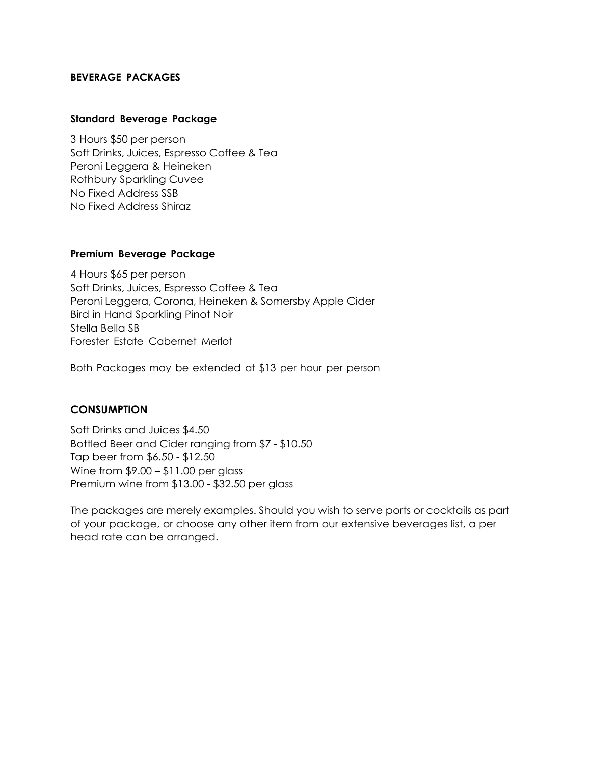### **BEVERAGE PACKAGES**

#### **Standard Beverage Package**

3 Hours \$50 per person Soft Drinks, Juices, Espresso Coffee & Tea Peroni Leggera & Heineken Rothbury Sparkling Cuvee No Fixed Address SSB No Fixed Address Shiraz

#### **Premium Beverage Package**

4 Hours \$65 per person Soft Drinks, Juices, Espresso Coffee & Tea Peroni Leggera, Corona, Heineken & Somersby Apple Cider Bird in Hand Sparkling Pinot Noir Stella Bella SB Forester Estate Cabernet Merlot

Both Packages may be extended at \$13 per hour per person

# **CONSUMPTION**

Soft Drinks and Juices \$4.50 Bottled Beer and Cider ranging from \$7 - \$10.50 Tap beer from \$6.50 - \$12.50 Wine from \$9.00 – \$11.00 per glass Premium wine from \$13.00 - \$32.50 per glass

The packages are merely examples. Should you wish to serve ports or cocktails as part of your package, or choose any other item from our extensive beverages list, a per head rate can be arranged.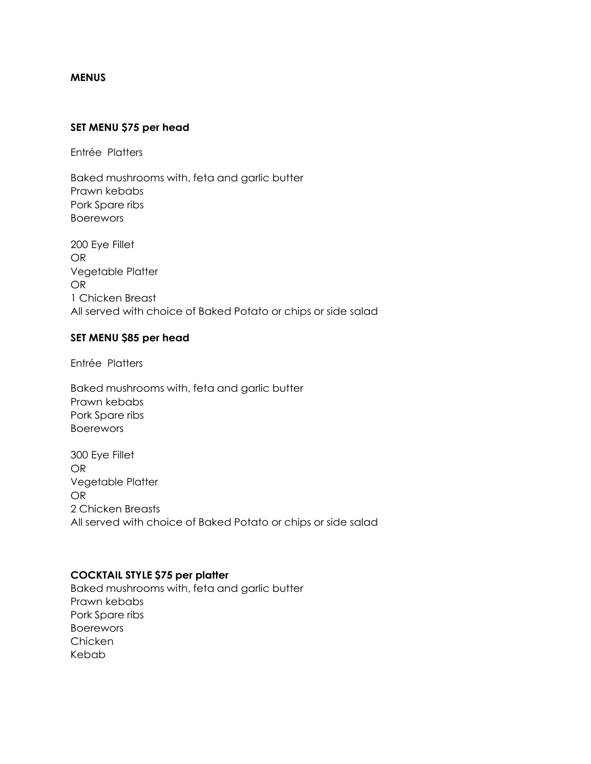#### **MENUS**

#### **SET MENU \$75 per head**

Entrée Platters

Baked mushrooms with, feta and garlic butter Prawn kebabs Pork Spare ribs Boerewors

200 Eye Fillet OR Vegetable Platter OR 1 Chicken Breast All served with choice of Baked Potato or chips or side salad

#### **SET MENU \$85 per head**

Entrée Platters

Baked mushrooms with, feta and garlic butter Prawn kebabs Pork Spare ribs Boerewors

300 Eye Fillet OR Vegetable Platter OR 2 Chicken Breasts All served with choice of Baked Potato or chips or side salad

#### **COCKTAIL STYLE \$75 per platter**

Baked mushrooms with, feta and garlic butter Prawn kebabs Pork Spare ribs Boerewors Chicken Kebab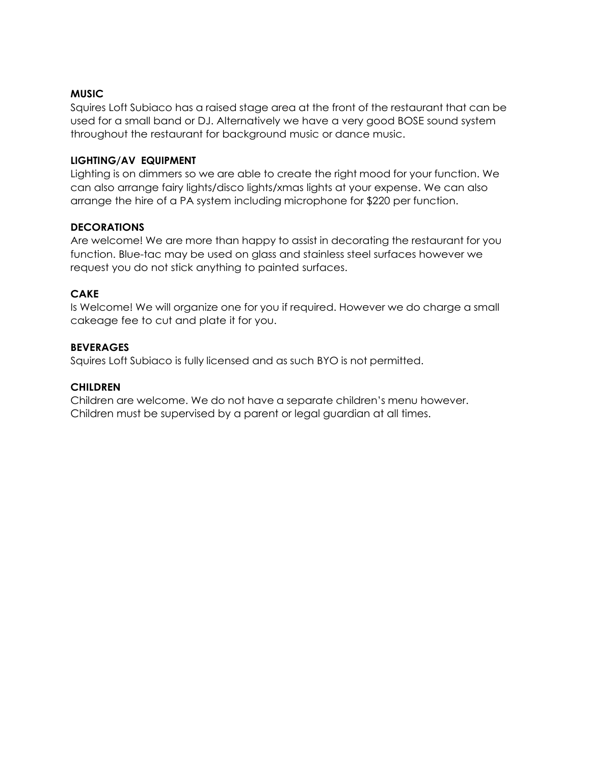## **MUSIC**

Squires Loft Subiaco has a raised stage area at the front of the restaurant that can be used for a small band or DJ. Alternatively we have a very good BOSE sound system throughout the restaurant for background music or dance music.

## **LIGHTING/AV EQUIPMENT**

Lighting is on dimmers so we are able to create the right mood for your function. We can also arrange fairy lights/disco lights/xmas lights at your expense. We can also arrange the hire of a PA system including microphone for \$220 per function.

### **DECORATIONS**

Are welcome! We are more than happy to assist in decorating the restaurant for you function. Blue-tac may be used on glass and stainless steel surfaces however we request you do not stick anything to painted surfaces.

# **CAKE**

Is Welcome! We will organize one for you if required. However we do charge a small cakeage fee to cut and plate it for you.

### **BEVERAGES**

Squires Loft Subiaco is fully licensed and as such BYO is not permitted.

## **CHILDREN**

Children are welcome. We do not have a separate children's menu however. Children must be supervised by a parent or legal guardian at all times.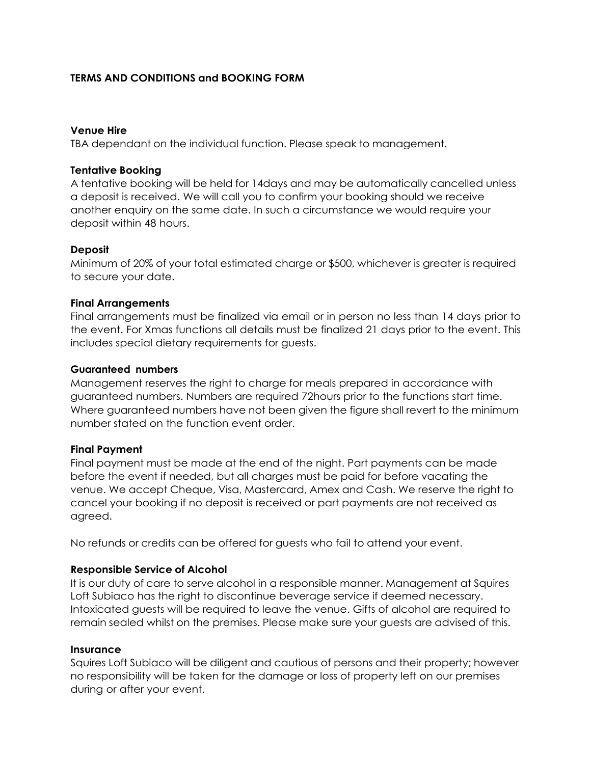### **TERMS AND CONDITIONS and BOOKING FORM**

#### **Venue Hire**

TBA dependant on the individual function. Please speak to management.

### **Tentative Booking**

A tentative booking will be held for 14days and may be automatically cancelled unless a deposit is received. We will call you to confirm your booking should we receive another enquiry on the same date. In such a circumstance we would require your deposit within 48 hours.

### **Deposit**

Minimum of 20% of your total estimated charge or \$500, whichever is greater is required to secure your date.

### **Final Arrangements**

Final arrangements must be finalized via email or in person no less than 14 days prior to the event. For Xmas functions all details must be finalized 21 days prior to the event. This includes special dietary requirements for guests.

#### **Guaranteed numbers**

Management reserves the right to charge for meals prepared in accordance with guaranteed numbers. Numbers are required 72hours prior to the functions start time. Where guaranteed numbers have not been given the figure shall revert to the minimum number stated on the function event order.

#### **Final Payment**

Final payment must be made at the end of the night. Part payments can be made before the event if needed, but all charges must be paid for before vacating the venue. We accept Cheque, Visa, Mastercard, Amex and Cash. We reserve the right to cancel your booking if no deposit is received or part payments are not received as agreed.

No refunds or credits can be offered for guests who fail to attend your event.

# **Responsible Service of Alcohol**

It is our duty of care to serve alcohol in a responsible manner. Management at Squires Loft Subiaco has the right to discontinue beverage service if deemed necessary. Intoxicated guests will be required to leave the venue. Gifts of alcohol are required to remain sealed whilst on the premises. Please make sure your guests are advised of this.

#### **Insurance**

Squires Loft Subiaco will be diligent and cautious of persons and their property; however no responsibility will be taken for the damage or loss of property left on our premises during or after your event.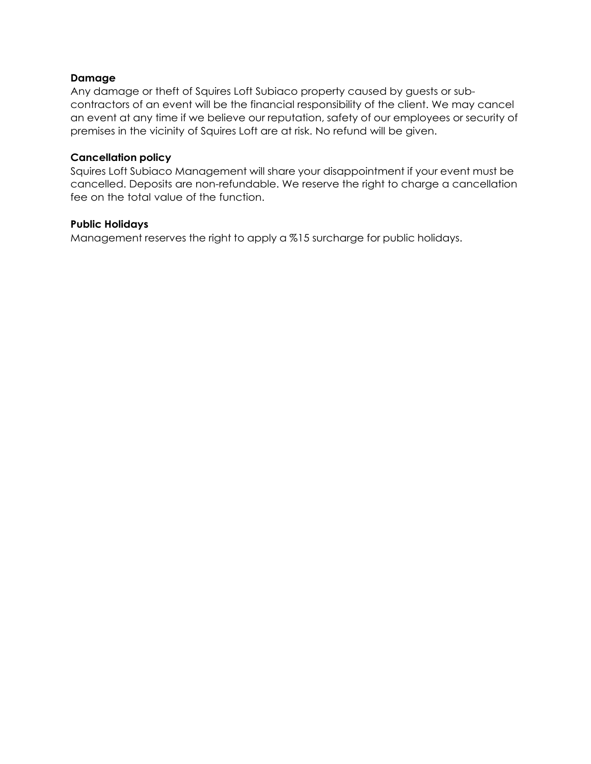## **Damage**

Any damage or theft of Squires Loft Subiaco property caused by guests or subcontractors of an event will be the financial responsibility of the client. We may cancel an event at any time if we believe our reputation, safety of our employees or security of premises in the vicinity of Squires Loft are at risk. No refund will be given.

### **Cancellation policy**

Squires Loft Subiaco Management will share your disappointment if your event must be cancelled. Deposits are non-refundable. We reserve the right to charge a cancellation fee on the total value of the function.

#### **Public Holidays**

Management reserves the right to apply a %15 surcharge for public holidays.